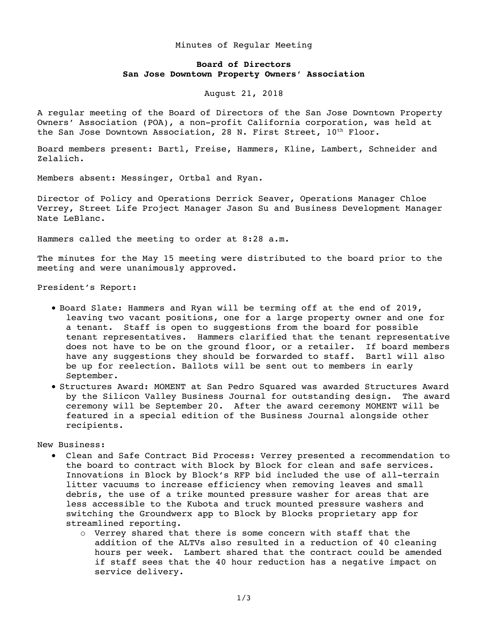## Minutes of Regular Meeting

## **Board of Directors San Jose Downtown Property Owners' Association**

August 21, 2018

A regular meeting of the Board of Directors of the San Jose Downtown Property Owners' Association (POA), a non-profit California corporation, was held at the San Jose Downtown Association, 28 N. First Street,  $10^{th}$  Floor.

Board members present: Bartl, Freise, Hammers, Kline, Lambert, Schneider and Zelalich.

Members absent: Messinger, Ortbal and Ryan.

Director of Policy and Operations Derrick Seaver, Operations Manager Chloe Verrey, Street Life Project Manager Jason Su and Business Development Manager Nate LeBlanc.

Hammers called the meeting to order at 8:28 a.m.

The minutes for the May 15 meeting were distributed to the board prior to the meeting and were unanimously approved.

President's Report:

- Board Slate: Hammers and Ryan will be terming off at the end of 2019, leaving two vacant positions, one for a large property owner and one for a tenant. Staff is open to suggestions from the board for possible tenant representatives. Hammers clarified that the tenant representative does not have to be on the ground floor, or a retailer. If board members have any suggestions they should be forwarded to staff. Bartl will also be up for reelection. Ballots will be sent out to members in early September.
- Structures Award: MOMENT at San Pedro Squared was awarded Structures Award by the Silicon Valley Business Journal for outstanding design. The award ceremony will be September 20. After the award ceremony MOMENT will be featured in a special edition of the Business Journal alongside other recipients.

New Business:

- Clean and Safe Contract Bid Process: Verrey presented a recommendation to the board to contract with Block by Block for clean and safe services. Innovations in Block by Block's RFP bid included the use of all-terrain litter vacuums to increase efficiency when removing leaves and small debris, the use of a trike mounted pressure washer for areas that are less accessible to the Kubota and truck mounted pressure washers and switching the Groundwerx app to Block by Blocks proprietary app for streamlined reporting.
	- o Verrey shared that there is some concern with staff that the addition of the ALTVs also resulted in a reduction of 40 cleaning hours per week. Lambert shared that the contract could be amended if staff sees that the 40 hour reduction has a negative impact on service delivery.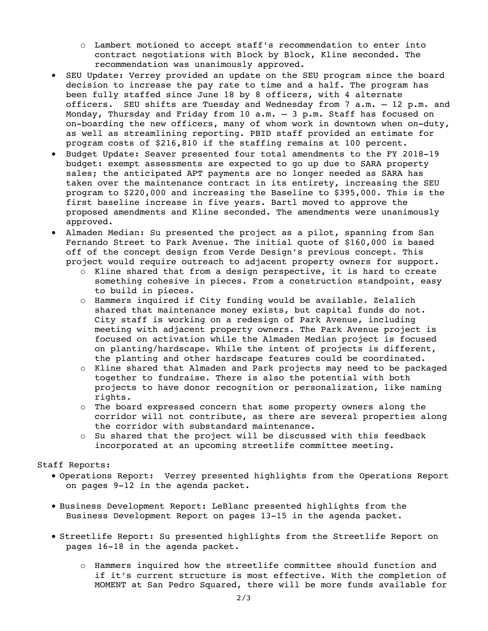- o Lambert motioned to accept staff's recommendation to enter into contract negotiations with Block by Block, Kline seconded. The recommendation was unanimously approved.
- SEU Update: Verrey provided an update on the SEU program since the board decision to increase the pay rate to time and a half. The program has been fully staffed since June 18 by 8 officers, with 4 alternate officers. SEU shifts are Tuesday and Wednesday from 7 a.m. – 12 p.m. and Monday, Thursday and Friday from 10 a.m. – 3 p.m. Staff has focused on on-boarding the new officers, many of whom work in downtown when on-duty, as well as streamlining reporting. PBID staff provided an estimate for program costs of \$216,810 if the staffing remains at 100 percent.
- Budget Update: Seaver presented four total amendments to the FY 2018-19 budget: exempt assessments are expected to go up due to SARA property sales; the anticipated APT payments are no longer needed as SARA has taken over the maintenance contract in its entirety, increasing the SEU program to \$220,000 and increasing the Baseline to \$395,000. This is the first baseline increase in five years. Bartl moved to approve the proposed amendments and Kline seconded. The amendments were unanimously approved.
- Almaden Median: Su presented the project as a pilot, spanning from San Fernando Street to Park Avenue. The initial quote of \$160,000 is based off of the concept design from Verde Design's previous concept. This project would require outreach to adjacent property owners for support.
	- o Kline shared that from a design perspective, it is hard to create something cohesive in pieces. From a construction standpoint, easy to build in pieces.
	- o Hammers inquired if City funding would be available. Zelalich shared that maintenance money exists, but capital funds do not. City staff is working on a redesign of Park Avenue, including meeting with adjacent property owners. The Park Avenue project is focused on activation while the Almaden Median project is focused on planting/hardscape. While the intent of projects is different, the planting and other hardscape features could be coordinated.
	- o Kline shared that Almaden and Park projects may need to be packaged together to fundraise. There is also the potential with both projects to have donor recognition or personalization, like naming rights.
	- o The board expressed concern that some property owners along the corridor will not contribute, as there are several properties along the corridor with substandard maintenance.
	- o Su shared that the project will be discussed with this feedback incorporated at an upcoming streetlife committee meeting.

Staff Reports:

- Operations Report: Verrey presented highlights from the Operations Report on pages 9-12 in the agenda packet.
- Business Development Report: LeBlanc presented highlights from the Business Development Report on pages 13-15 in the agenda packet.
- Streetlife Report: Su presented highlights from the Streetlife Report on pages 16-18 in the agenda packet.
	- o Hammers inquired how the streetlife committee should function and if it's current structure is most effective. With the completion of MOMENT at San Pedro Squared, there will be more funds available for